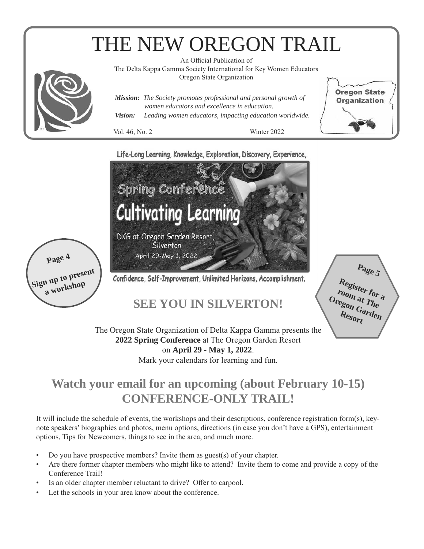# THE NEW OREGON TRAIL



An Official Publication of

The Delta Kappa Gamma Society International for Key Women Educators Oregon State Organization

*Mission: The Society promotes professional and personal growth of women educators and excellence in education. Vision: Leading women educators, impacting education worldwide.*

Vol. 46, No. 2 Winter 2022

**Oregon State Organization** 

### Life-Long Learning, Knowledge, Exploration, Discovery, Experience,



The Oregon State Organization of Delta Kappa Gamma presents the **2022 Spring Conference** at The Oregon Garden Resort on **April 29 - May 1, 2022**. Mark your calendars for learning and fun.

# **Watch your email for an upcoming (about February 10-15) CONFERENCE-ONLY TRAIL!**

It will include the schedule of events, the workshops and their descriptions, conference registration form(s), keynote speakers' biographies and photos, menu options, directions (in case you don't have a GPS), entertainment options, Tips for Newcomers, things to see in the area, and much more.

- Do you have prospective members? Invite them as guest(s) of your chapter.
- Are there former chapter members who might like to attend? Invite them to come and provide a copy of the Conference Trail!
- Is an older chapter member reluctant to drive? Offer to carpool.
- Let the schools in your area know about the conference.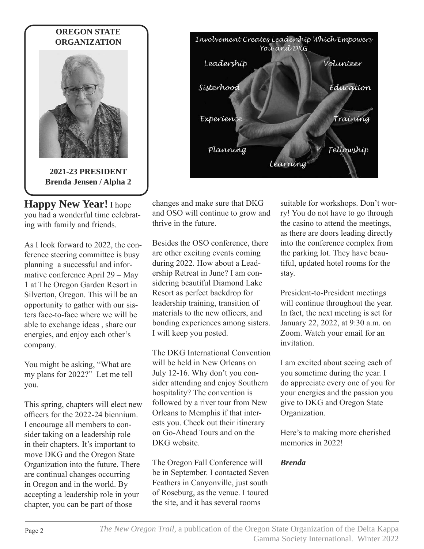

**Happy New Year!** I hope you had a wonderful time celebrating with family and friends.

As I look forward to 2022, the conference steering committee is busy planning a successful and informative conference April 29 – May 1 at The Oregon Garden Resort in Silverton, Oregon. This will be an opportunity to gather with our sisters face-to-face where we will be able to exchange ideas , share our energies, and enjoy each other's company.

You might be asking, "What are my plans for 2022?" Let me tell you.

This spring, chapters will elect new officers for the 2022-24 biennium. I encourage all members to consider taking on a leadership role in their chapters. It's important to move DKG and the Oregon State Organization into the future. There are continual changes occurring in Oregon and in the world. By accepting a leadership role in your chapter, you can be part of those



changes and make sure that DKG and OSO will continue to grow and thrive in the future.

Besides the OSO conference, there are other exciting events coming during 2022. How about a Leadership Retreat in June? I am considering beautiful Diamond Lake Resort as perfect backdrop for leadership training, transition of materials to the new officers, and bonding experiences among sisters. I will keep you posted.

The DKG International Convention will be held in New Orleans on July 12-16. Why don't you consider attending and enjoy Southern hospitality? The convention is followed by a river tour from New Orleans to Memphis if that interests you. Check out their itinerary on Go-Ahead Tours and on the DKG website.

The Oregon Fall Conference will be in September. I contacted Seven Feathers in Canyonville, just south of Roseburg, as the venue. I toured the site, and it has several rooms

suitable for workshops. Don't worry! You do not have to go through the casino to attend the meetings, as there are doors leading directly into the conference complex from the parking lot. They have beautiful, updated hotel rooms for the stay.

President-to-President meetings will continue throughout the year. In fact, the next meeting is set for January 22, 2022, at 9:30 a.m. on Zoom. Watch your email for an invitation.

I am excited about seeing each of you sometime during the year. I do appreciate every one of you for your energies and the passion you give to DKG and Oregon State Organization.

Here's to making more cherished memories in 2022!

## *Brenda*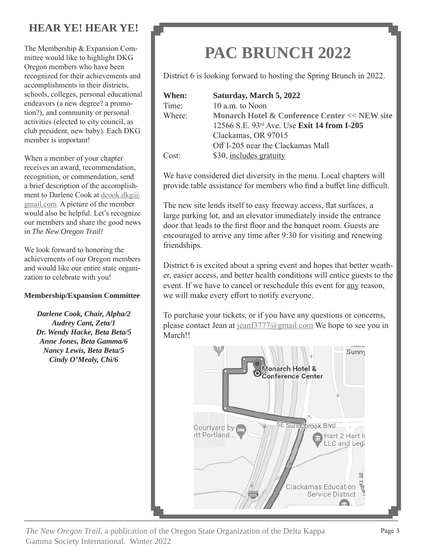# **HEAR YE! HEAR YE!**

The Membership & Expansion Committee would like to highlight DKG Oregon members who have been recognized for their achievements and accomplishments in their districts, schools, colleges, personal educational endeavors (a new degree? a promotion?), and community or personal activities (elected to city council, as club president, new baby). Each DKG member is important!

When a member of your chapter receives an award, recommendation, recognition, or commendation, send a brief description of the accomplishment to Darlene Cook at dcook.dkg@ gmail.com. A picture of the member would also be helpful. Let's recognize our members and share the good news in *The New Oregon Trail!*

We look forward to honoring the achievements of our Oregon members and would like our entire state organization to celebrate with you!

#### **Membership/Expansion Committee**

*Darlene Cook, Chair, Alpha/2 Audrey Cant, Zeta/1 Dr. Wendy Hacke, Beta Beta/5 Anne Jones, Beta Gamma/6 Nancy Lewis, Beta Beta/5 Cindy O'Mealy, Chi/6*

# **PAC BRUNCH 2022**

District 6 is looking forward to hosting the Spring Brunch in 2022.

**When: Saturday, March 5, 2022** Time: 10 a.m. to Noon Where: **Monarch Hotel & Conference Center << NEW site** 12566 S.E. 93rd Ave. Use **Exit 14 from I-205** Clackamas, OR 97015 Off I-205 near the Clackamas Mall Cost: \$30, includes gratuity

We have considered diet diversity in the menu. Local chapters will provide table assistance for members who find a buffet line difficult.

The new site lends itself to easy freeway access, flat surfaces, a large parking lot, and an elevator immediately inside the entrance door that leads to the first floor and the banquet room. Guests are encouraged to arrive any time after 9:30 for visiting and renewing friendships.

District 6 is excited about a spring event and hopes that better weather, easier access, and better health conditions will entice guests to the event. If we have to cancel or reschedule this event for any reason, we will make every effort to notify everyone.

To purchase your tickets, or if you have any questions or concerns, please contact Jean at jeanf3777@gmail.com We hope to see you in March!!



*The New Oregon Trail,* a publication of the Oregon State Organization of the Delta Kappa Page 3 Gamma Society International. Winter 2022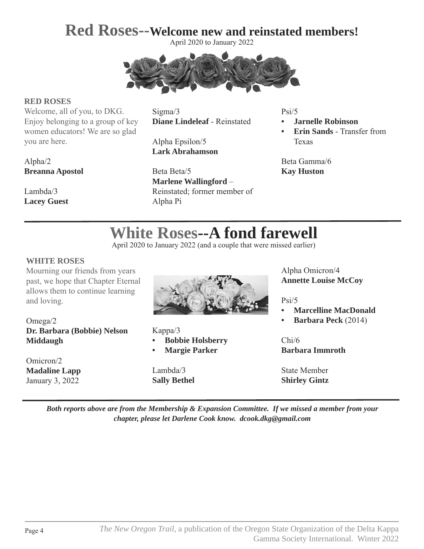# **Red Roses--Welcome new and reinstated members!**

April 2020 to January 2022



#### **RED ROSES**

Welcome, all of you, to DKG. Enjoy belonging to a group of key women educators! We are so glad you are here.

Sigma/3 **Diane Lindeleaf** - Reinstated

Alpha Epsilon/5 **Lark Abrahamson**

Beta Beta/5 **Marlene Wallingford** – Reinstated; former member of Alpha Pi

Psi/5

- **• Jarnelle Robinson**
- **• Erin Sands** Transfer from Texas

Beta Gamma/6 **Kay Huston**

# Alpha/2 **Breanna Apostol**

Lambda/3 **Lacey Guest**

# **White Roses--A fond farewell**

April 2020 to January 2022 (and a couple that were missed earlier)

#### **WHITE ROSES**

Mourning our friends from years past, we hope that Chapter Eternal allows them to continue learning and loving.

Omega/2 **Dr. Barbara (Bobbie) Nelson Middaugh**

Omicron/2 **Madaline Lapp** January 3, 2022



Kappa/3

**• Bobbie Holsberry**

**• Margie Parker**

Lambda/3 **Sally Bethel** Alpha Omicron/4 **Annette Louise McCoy**

Psi/5

- **• Marcelline MacDonald**
- **• Barbara Peck** (2014)

Chi/6 **Barbara Immroth**

State Member **Shirley Gintz**

*Both reports above are from the Membership & Expansion Committee. If we missed a member from your chapter, please let Darlene Cook know. dcook.dkg@gmail.com*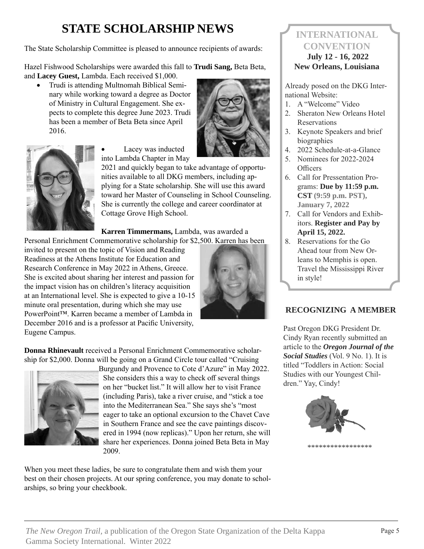# **STATE SCHOLARSHIP NEWS**

The State Scholarship Committee is pleased to announce recipients of awards:

Hazel Fishwood Scholarships were awarded this fall to **Trudi Sang,** Beta Beta, and **Lacey Guest,** Lambda. Each received \$1,000.

• Trudi is attending Multnomah Biblical Seminary while working toward a degree as Doctor of Ministry in Cultural Engagement. She expects to complete this degree June 2023. Trudi has been a member of Beta Beta since April 2016.





Lacey was inducted into Lambda Chapter in May

2021 and quickly began to take advantage of opportunities available to all DKG members, including applying for a State scholarship. She will use this award toward her Master of Counseling in School Counseling. She is currently the college and career coordinator at Cottage Grove High School.

**Karren Timmermans,** Lambda, was awarded a

Personal Enrichment Commemorative scholarship for \$2,500. Karren has been invited to present on the topic of Vision and Reading Readiness at the Athens Institute for Education and Research Conference in May 2022 in Athens, Greece. She is excited about sharing her interest and passion for the impact vision has on children's literacy acquisition at an International level. She is expected to give a 10-15 minute oral presentation, during which she may use PowerPoint™. Karren became a member of Lambda in December 2016 and is a professor at Pacific University, Eugene Campus.



**Donna Rhinevault** received a Personal Enrichment Commemorative scholarship for \$2,000. Donna will be going on a Grand Circle tour called "Cruising



Burgundy and Provence to Cote d'Azure" in May 2022. She considers this a way to check off several things on her "bucket list." It will allow her to visit France (including Paris), take a river cruise, and "stick a toe into the Mediterranean Sea." She says she's "most eager to take an optional excursion to the Chavet Cave in Southern France and see the cave paintings discovered in 1994 (now replicas)." Upon her return, she will share her experiences. Donna joined Beta Beta in May 2009.

When you meet these ladies, be sure to congratulate them and wish them your best on their chosen projects. At our spring conference, you may donate to scholarships, so bring your checkbook.

# **INTERNATIONAL CONVENTION**

## **July 12 - 16, 2022 New Orleans, Louisiana**

Already posed on the DKG International Website:

- 1. A "Welcome" Video
- 2. Sheraton New Orleans Hotel Reservations
- 3. Keynote Speakers and brief biographies
- 4. 2022 Schedule-at-a-Glance
- 5. Nominees for 2022-2024 **Officers**
- 6. Call for Pressentation Programs: **Due by 11:59 p.m. CST (9:59 p.m. PST), January 7, 2022**
- 7. Call for Vendors and Exhibitors. **Register and Pay by April 15, 2022.**
- 8. Reservations for the Go Ahead tour from New Orleans to Memphis is open. Travel the Mississippi River in style!

## **RECOGNIZING A MEMBER**

Past Oregon DKG President Dr. Cindy Ryan recently submitted an article to the *Oregon Journal of the Social Studies* (Vol. 9 No. 1). It is titled "Toddlers in Action: Social Studies with our Youngest Children." Yay, Cindy!

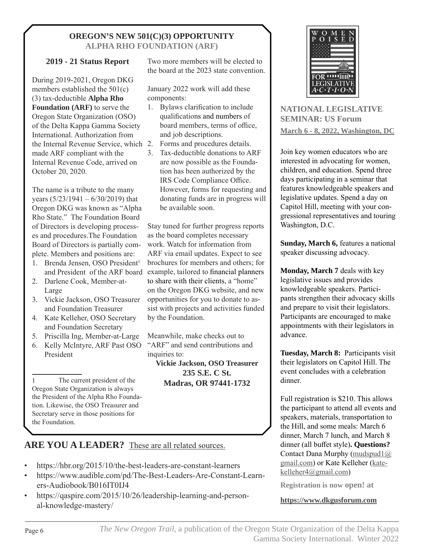#### **OREGON'S NEW 501(C)(3) OPPORTUNITY ALPHA RHO FOUNDATION (ARF)**

#### **2019 - 21 Status Report**

During 2019-2021, Oregon DKG members established the 501(c) (3) tax-deductible **Alpha Rho Foundation (ARF)** to serve the Oregon State Organization (OSO) of the Delta Kappa Gamma Society International. Authorization from the Internal Revenue Service, which made ARF compliant with the Internal Revenue Code, arrived on October 20, 2020.

The name is a tribute to the many years  $(5/23/1941 - 6/30/2019)$  that Oregon DKG was known as "Alpha Rho State." The Foundation Board of Directors is developing processes and procedures.The Foundation Board of Directors is partially complete. Members and positions are:

- 1. Brenda Jensen, OSO President<sup>1</sup>
- 2. Darlene Cook, Member-at-Large
- 3. Vickie Jackson, OSO Treasurer and Foundation Treasurer
- 4. Kate Kelleher, OSO Secretary and Foundation Secretary
- 5. Priscilla Ing, Member-at-Large
- 6. Kelly McIntyre, ARF Past OSO President

1 The current president of the Oregon State Organization is always the President of the Alpha Rho Foundation. Likewise, the OSO Treasurer and Secretary serve in those positions for the Foundation.

Two more members will be elected to the board at the 2023 state convention.

January 2022 work will add these components:

- 1. Bylaws clarification to include qualifications and numbers of board members, terms of office, and job descriptions.
- Forms and procedures details.
- 3. Tax-deductible donations to ARF are now possible as the Foundation has been authorized by the IRS Code Compliance Office. However, forms for requesting and donating funds are in progress will be available soon.

and President of the ARF board example, tailored to financial planners Stay tuned for further progress reports as the board completes necessary work. Watch for information from ARF via email updates. Expect to see brochures for members and others; for to share with their clients, a "home" on the Oregon DKG website, and new opportunities for you to donate to assist with projects and activities funded by the Foundation.

> Meanwhile, make checks out to "ARF" and send contributions and inquiries to:

**Vickie Jackson, OSO Treasurer 235 S.E. C St. Madras, OR 97441-1732**



**NATIONAL LEGISLATIVE SEMINAR: US Forum March 6 - 8, 2022, Washington, DC**

Join key women educators who are interested in advocating for women, children, and education. Spend three days participating in a seminar that features knowledgeable speakers and legislative updates. Spend a day on Capitol Hill, meeting with your congressional representatives and touring Washington, D.C.

**Sunday, March 6,** features a national speaker discussing advocacy.

**Monday, March 7** deals with key legislative issues and provides knowledgeable speakers. Participants strengthen their advocacy skills and prepare to visit their legislators. Participants are encouraged to make appointments with their legislators in advance.

**Tuesday, March 8:** Participants visit their legislators on Capitol Hill. The event concludes with a celebration dinner.

Full registration is \$210. This allows the participant to attend all events and speakers, materials, transportation to the Hill, and some meals: March 6 dinner, March 7 lunch, and March 8 dinner (all buffet style)**. Questions?**  Contact Dana Murphy (mudspud1@ gmail.com) or Kate Kelleher (katekelleher4@gmail.com)

**Registration is now open! at** 

**https://www.dkgusforum.com**

## **ARE YOU A LEADER?** These are all related sources.

- https://hbr.org/2015/10/the-best-leaders-are-constant-learners
- https://www.audible.com/pd/The-Best-Leaders-Are-Constant-Learners-Audiobook/B016IT0IJ4
- https://qaspire.com/2015/10/26/leadership-learning-and-personal-knowledge-mastery/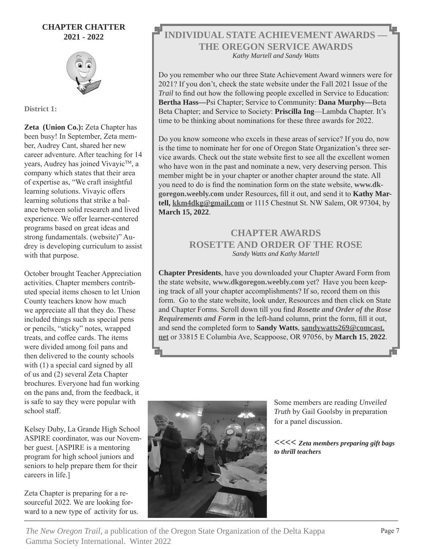#### **CHAPTER CHATTER 2021 - 2022**



**District 1:**

**Zeta (Union Co.):** Zeta Chapter has been busy! In September, Zeta member, Audrey Cant, shared her new career adventure. After teaching for 14 years, Audrey has joined Vivayic™, a company which states that their area of expertise as, "We craft insightful learning solutions. Vivayic offers learning solutions that strike a balance between solid research and lived experience. We offer learner-centered programs based on great ideas and strong fundamentals. (website)" Audrey is developing curriculum to assist with that purpose.

October brought Teacher Appreciation activities. Chapter members contributed special items chosen to let Union County teachers know how much we appreciate all that they do. These included things such as special pens or pencils, "sticky" notes, wrapped treats, and coffee cards. The items were divided among foil pans and then delivered to the county schools with (1) a special card signed by all of us and (2) several Zeta Chapter brochures. Everyone had fun working on the pans and, from the feedback, it is safe to say they were popular with school staff.

Kelsey Duby, La Grande High School ASPIRE coordinator, was our November guest. [ASPIRE is a mentoring program for high school juniors and seniors to help prepare them for their careers in life.]

Zeta Chapter is preparing for a resourceful 2022. We are looking forward to a new type of activity for us.

### **INDIVIDUAL STATE ACHIEVEMENT AWARDS — THE OREGON SERVICE AWARDS** *Kathy Martell and Sandy Watts*

Do you remember who our three State Achievement Award winners were for 2021? If you don't, check the state website under the Fall 2021 Issue of the *Trail* to find out how the following people excelled in Service to Education: **Bertha Hass—**Psi Chapter; Service to Community: **Dana Murphy—**Beta Beta Chapter; and Service to Society: **Priscilla Ing**—Lambda Chapter. It's time to be thinking about nominations for these three awards for 2022.

Do you know someone who excels in these areas of service? If you do, now is the time to nominate her for one of Oregon State Organization's three service awards. Check out the state website first to see all the excellent women who have won in the past and nominate a new, very deserving person. This member might be in your chapter or another chapter around the state. All you need to do is find the nomination form on the state website, **www.dkgoregon.weebly.com** under Resources**,** fill it out, and send it to **Kathy Martell, kkm4dkg@gmail.com** or 1115 Chestnut St. NW Salem, OR 97304, by **March 15, 2022**.

## **CHAPTER AWARDS ROSETTE AND ORDER OF THE ROSE** *Sandy Watts and Kathy Martell*

**Chapter Presidents**, have you downloaded your Chapter Award Form from the state website, **www.dkgoregon.weebly.com** yet? Have you been keeping track of all your chapter accomplishments? If so, record them on this form. Go to the state website, look under, Resources and then click on State and Chapter Forms. Scroll down till you find *Rosette and Order of the Rose Requirements and Form* in the left-hand column, print the form, fill it out, and send the completed form to **Sandy Watts, sandywatts269@comcast. net** or 33815 E Columbia Ave, Scappoose, OR 97056, by **March 15**, **2022**.



Some members are reading *Unveiled Truth* by Gail Goolsby in preparation for a panel discussion.

**<<<<** *Zeta members preparing gift bags to thrill teachers*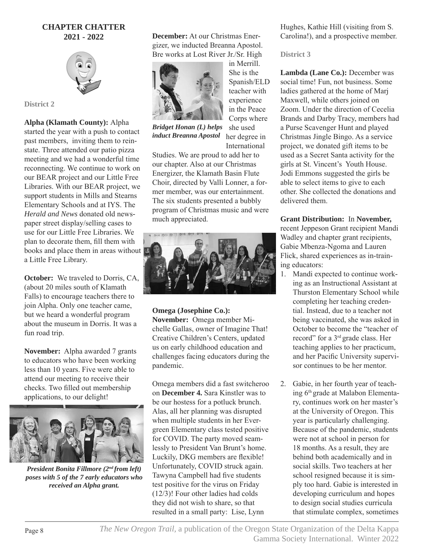#### **CHAPTER CHATTER 2021 - 2022**



**District 2**

**Alpha (Klamath County):** Alpha started the year with a push to contact

past members, inviting them to reinstate. Three attended our patio pizza meeting and we had a wonderful time reconnecting. We continue to work on our BEAR project and our Little Free Libraries. With our BEAR project, we support students in Mills and Stearns Elementary Schools and at IYS. The *Herald and News* donated old newspaper street display/selling cases to use for our Little Free Libraries. We plan to decorate them, fill them with books and place them in areas without  $\mathbb E$ a Little Free Library.

**October:** We traveled to Dorris, CA, (about 20 miles south of Klamath Falls) to encourage teachers there to join Alpha. Only one teacher came, but we heard a wonderful program about the museum in Dorris. It was a fun road trip.

**November:** Alpha awarded 7 grants to educators who have been working less than 10 years. Five were able to attend our meeting to receive their checks. Two filled out membership applications, to our delight!



*President Bonita Fillmore (2nd from left) poses with 5 of the 7 early educators who received an Alpha grant.*

**December:** At our Christmas Energizer, we inducted Breanna Apostol. Bre works at Lost River Jr./Sr. High



in Merrill. She is the Spanish/ELD teacher with experience in the Peace Corps where she used

her degree in International *Bridget Honan (L) helps induct Breanna Apostol*

Studies. We are proud to add her to our chapter. Also at our Christmas Energizer, the Klamath Basin Flute Choir, directed by Valli Lonner, a former member, was our entertainment. The six students presented a bubbly program of Christmas music and were much appreciated.



**Omega (Josephine Co.): November:** Omega member Michelle Gallas, owner of Imagine That! Creative Children's Centers, updated us on early childhood education and challenges facing educators during the pandemic.

Omega members did a fast switcheroo on **December 4.** Sara Kinstler was to be our hostess for a potluck brunch. Alas, all her planning was disrupted when multiple students in her Evergreen Elementary class tested positive for COVID. The party moved seamlessly to President Van Brunt's home. Luckily, DKG members are flexible! Unfortunately, COVID struck again. Tawyna Campbell had five students test positive for the virus on Friday (12/3)! Four other ladies had colds they did not wish to share, so that resulted in a small party: Lise, Lynn

Hughes, Kathie Hill (visiting from S. Carolina!), and a prospective member.

**District 3**

Lambda (Lane Co.): December was social time! Fun, not business. Some ladies gathered at the home of Marj Maxwell, while others joined on Zoom. Under the direction of Cecelia Brands and Darby Tracy, members had a Purse Scavenger Hunt and played Christmas Jingle Bingo. As a service project, we donated gift items to be used as a Secret Santa activity for the girls at St. Vincent's Youth House. Jodi Emmons suggested the girls be able to select items to give to each other. She collected the donations and delivered them.

**Grant Distribution:** In **November,**  recent Jeppeson Grant recipient Mandi Wadley and chapter grant recipients, Gabie Mbenza-Ngoma and Lauren Flick, shared experiences as in-training educators:

- 1. Mandi expected to continue working as an Instructional Assistant at Thurston Elementary School while completing her teaching credential. Instead, due to a teacher not being vaccinated, she was asked in October to become the "teacher of record" for a 3rd grade class. Her teaching applies to her practicum, and her Pacific University supervisor continues to be her mentor.
- 2. Gabie, in her fourth year of teaching 6th grade at Malabon Elementary, continues work on her master's at the University of Oregon. This year is particularly challenging. Because of the pandemic, students were not at school in person for 18 months. As a result, they are behind both academically and in social skills. Two teachers at her school resigned because it is simply too hard. Gabie is interested in developing curriculum and hopes to design social studies curricula that stimulate complex, sometimes

Page 8 *The New Oregon Trail,* a publication of the Oregon State Organization of the Delta Kappa Gamma Society International. Winter 2022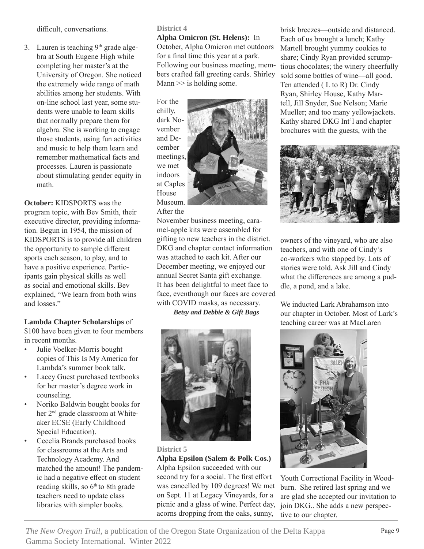difficult, conversations.

3. Lauren is teaching  $9<sup>th</sup>$  grade algebra at South Eugene High while completing her master's at the University of Oregon. She noticed the extremely wide range of math abilities among her students. With on-line school last year, some students were unable to learn skills that normally prepare them for algebra. She is working to engage those students, using fun activities and music to help them learn and remember mathematical facts and processes. Lauren is passionate about stimulating gender equity in math.

**October:** KIDSPORTS was the program topic, with Bev Smith, their executive director, providing information. Begun in 1954, the mission of KIDSPORTS is to provide all children the opportunity to sample different sports each season, to play, and to have a positive experience. Participants gain physical skills as well as social and emotional skills. Bev explained, "We learn from both wins and losses."

#### **Lambda Chapter Scholarships** of

\$100 have been given to four members in recent months.

- Julie Voelker-Morris bought copies of This Is My America for Lambda's summer book talk.
- Lacey Guest purchased textbooks for her master's degree work in counseling.
- Noriko Baldwin bought books for her 2<sup>nd</sup> grade classroom at Whiteaker ECSE (Early Childhood Special Education).
- Cecelia Brands purchased books for classrooms at the Arts and Technology Academy. And matched the amount! The pandemic had a negative effect on student reading skills, so  $6<sup>th</sup>$  to  $8th$  grade teachers need to update class libraries with simpler books.

#### **District 4**

**Alpha Omicron (St. Helens):** In October, Alpha Omicron met outdoors for a final time this year at a park. Following our business meeting, members crafted fall greeting cards. Shirley Mann  $\gg$  is holding some.

For the chilly, dark November and December meetings, we met indoors at Caples House Museum. After the

November business meeting, caramel-apple kits were assembled for gifting to new teachers in the district. DKG and chapter contact information was attached to each kit. After our December meeting, we enjoyed our annual Secret Santa gift exchange. It has been delightful to meet face to face, eventhough our faces are covered with COVID masks, as necessary.

*Betsy and Debbie & Gift Bags*





# **Alpha Epsilon (Salem & Polk Cos.)**

Alpha Epsilon succeeded with our second try for a social. The first effort was cancelled by 109 degrees! We met on Sept. 11 at Legacy Vineyards, for a picnic and a glass of wine. Perfect day, acorns dropping from the oaks, sunny,

brisk breezes—outside and distanced. Each of us brought a lunch; Kathy Martell brought yummy cookies to share; Cindy Ryan provided scrumptious chocolates; the winery cheerfully sold some bottles of wine—all good. Ten attended ( L to R) Dr. Cindy Ryan, Shirley House, Kathy Martell, Jill Snyder, Sue Nelson; Marie Mueller; and too many yellowjackets. Kathy shared DKG Int'l and chapter brochures with the guests, with the



owners of the vineyard, who are also teachers, and with one of Cindy's co-workers who stopped by. Lots of stories were told. Ask Jill and Cindy what the differences are among a puddle, a pond, and a lake.

We inducted Lark Abrahamson into our chapter in October. Most of Lark's teaching career was at MacLaren



Youth Correctional Facility in Woodburn. She retired last spring and we are glad she accepted our invitation to join DKG.. She adds a new perspective to our chapter.

*The New Oregon Trail,* a publication of the Oregon State Organization of the Delta Kappa Page 9 Gamma Society International. Winter 2022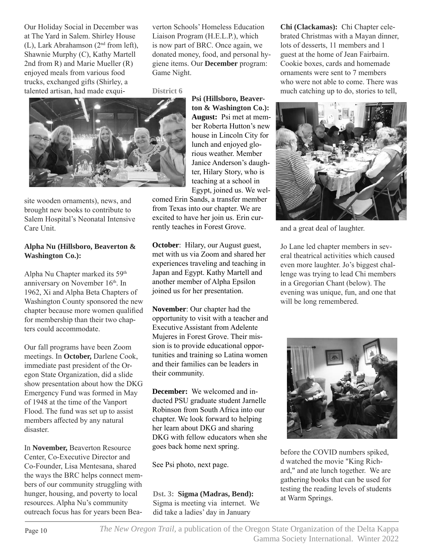Our Holiday Social in December was at The Yard in Salem. Shirley House (L), Lark Abrahamson (2nd from left), Shawnie Murphy (C), Kathy Martell 2nd from R) and Marie Mueller (R) enjoyed meals from various food trucks, exchanged gifts (Shirley, a talented artisan, had made exquiverton Schools' Homeless Education Liaison Program (H.E.L.P.), which is now part of BRC. Once again, we donated money, food, and personal hygiene items. Our **December** program: Game Night.

**District 6**



site wooden ornaments), news, and brought new books to contribute to Salem Hospital's Neonatal Intensive Care Unit.

#### **Alpha Nu (Hillsboro, Beaverton & Washington Co.):**

Alpha Nu Chapter marked its 59th anniversary on November 16th. In 1962, Xi and Alpha Beta Chapters of Washington County sponsored the new chapter because more women qualified for membership than their two chapters could accommodate.

Our fall programs have been Zoom meetings. In **October,** Darlene Cook, immediate past president of the Oregon State Organization, did a slide show presentation about how the DKG Emergency Fund was formed in May of 1948 at the time of the Vanport Flood. The fund was set up to assist members affected by any natural disaster.

In **November,** Beaverton Resource Center, Co-Executive Director and Co-Founder, Lisa Mentesana, shared the ways the BRC helps connect members of our community struggling with hunger, housing, and poverty to local resources. Alpha Nu's community outreach focus has for years been Bea**Psi (Hillsboro, Beaverton & Washington Co.): August:** Psi met at member Roberta Hutton's new house in Lincoln City for lunch and enjoyed glorious weather. Member Janice Anderson's daughter, Hilary Story, who is teaching at a school in Egypt, joined us. We wel-

comed Erin Sands, a transfer member from Texas into our chapter. We are excited to have her join us. Erin currently teaches in Forest Grove.

**October:** Hilary, our August guest, met with us via Zoom and shared her experiences traveling and teaching in Japan and Egypt. Kathy Martell and another member of Alpha Epsilon joined us for her presentation.

**November**: Our chapter had the opportunity to visit with a teacher and Executive Assistant from Adelente Mujeres in Forest Grove. Their mission is to provide educational opportunities and training so Latina women and their families can be leaders in their community.

**December:** We welcomed and inducted PSU graduate student Jarnelle Robinson from South Africa into our chapter. We look forward to helping her learn about DKG and sharing DKG with fellow educators when she goes back home next spring.

See Psi photo, next page.

**Dst. 3: Sigma (Madras, Bend):** Sigma is meeting via internet. We did take a ladies' day in January

**Chi (Clackamas):** Chi Chapter celebrated Christmas with a Mayan dinner, lots of desserts, 11 members and 1 guest at the home of Jean Fairbairn. Cookie boxes, cards and homemade ornaments were sent to 7 members who were not able to come. There was much catching up to do, stories to tell,



and a great deal of laughter.

Jo Lane led chapter members in several theatrical activities which caused even more laughter. Jo's biggest challenge was trying to lead Chi members in a Gregorian Chant (below). The evening was unique, fun, and one that will be long remembered.



before the COVID numbers spiked, d watched the movie "King Richard," and ate lunch together. We are gathering books that can be used for testing the reading levels of students at Warm Springs.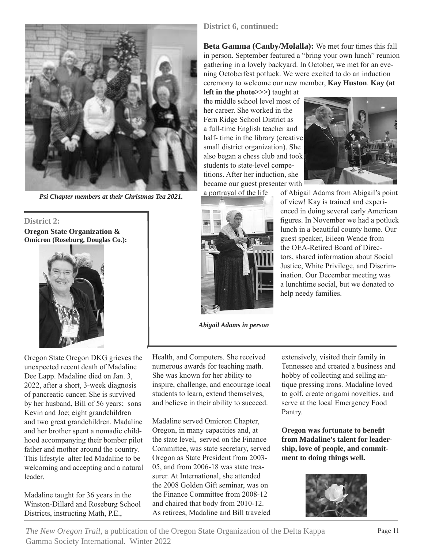

*Psi Chapter members at their Christmas Tea 2021.*

**District 2: Oregon State Organization & Omicron (Roseburg, Douglas Co.):** 



Oregon State Oregon DKG grieves the unexpected recent death of Madaline Dee Lapp. Madaline died on Jan. 3, 2022, after a short, 3-week diagnosis of pancreatic cancer. She is survived by her husband, Bill of 56 years; sons Kevin and Joe; eight grandchildren and two great grandchildren. Madaline and her brother spent a nomadic childhood accompanying their bomber pilot father and mother around the country. This lifestyle alter led Madaline to be welcoming and accepting and a natural leader.

Madaline taught for 36 years in the Winston-Dillard and Roseburg School Districts, instructing Math, P.E.,

**District 6, continued:** 

**Beta Gamma (Canby/Molalla):** We met four times this fall in person. September featured a "bring your own lunch" reunion gathering in a lovely backyard. In October, we met for an evening Octoberfest potluck. We were excited to do an induction ceremony to welcome our new member, **Kay Huston**. **Kay (at** 

**left in the photo>>>)** taught at the middle school level most of her career. She worked in the Fern Ridge School District as a full-time English teacher and half- time in the library (creative small district organization). She also began a chess club and took students to state-level competitions. After her induction, she became our guest presenter with





*Abigail Adams in person*

a portrayal of the life of Abigail Adams from Abigail's point of view! Kay is trained and experienced in doing several early American figures. In November we had a potluck lunch in a beautiful county home. Our guest speaker, Eileen Wende from the OEA-Retired Board of Directors, shared information about Social Justice, White Privilege, and Discrimination. Our December meeting was a lunchtime social, but we donated to help needy families.

Health, and Computers. She received numerous awards for teaching math. She was known for her ability to inspire, challenge, and encourage local students to learn, extend themselves, and believe in their ability to succeed.

Madaline served Omicron Chapter, Oregon, in many capacities and, at the state level, served on the Finance Committee, was state secretary, served Oregon as State President from 2003- 05, and from 2006-18 was state treasurer. At International, she attended the 2008 Golden Gift seminar, was on the Finance Committee from 2008-12 and chaired that body from 2010-12. As retirees, Madaline and Bill traveled

extensively, visited their family in Tennessee and created a business and hobby of collecting and selling antique pressing irons. Madaline loved to golf, create origami novelties, and serve at the local Emergency Food Pantry.

**Oregon was fortunate to benefit from Madaline's talent for leadership, love of people, and commitment to doing things well.**